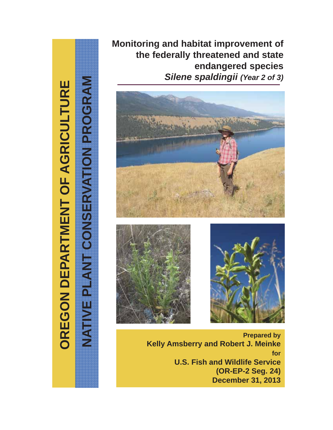OREGON DEPARTMENT OF AGRICULTURE **OREGON DEPARTMENT OF AGRICULTURE**

**NATIVE PLANT CONSERVATION PROGRAM**

NATIVE PLANT CONSERVATION PROGRAM

**Monitoring and habitat improvement of the federally threatened and state endangered species**  *Silene spaldingii (Year 2 of 3)*







**Prepared by Kelly Amsberry and Robert J. Meinke for U.S. Fish and Wildlife Service (OR-EP-2 Seg. 24) December 31, 2013**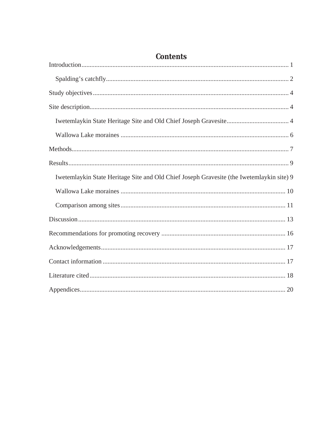| Iwetemlaykin State Heritage Site and Old Chief Joseph Gravesite (the Iwetemlaykin site) 9 |
|-------------------------------------------------------------------------------------------|
|                                                                                           |
|                                                                                           |
|                                                                                           |
|                                                                                           |
|                                                                                           |
|                                                                                           |
|                                                                                           |
|                                                                                           |

### **Contents**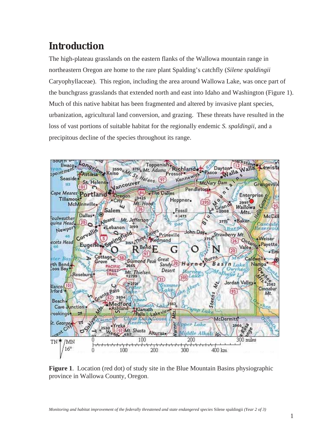# **Introduction**

The high-plateau grasslands on the eastern flanks of the Wallowa mountain range in northeastern Oregon are home to the rare plant Spalding's catchfly (*Silene spaldingii*  Caryophyllaceae). This region, including the area around Wallowa Lake, was once part of the bunchgrass grasslands that extended north and east into Idaho and Washington (Figure 1). Much of this native habitat has been fragmented and altered by invasive plant species, urbanization, agricultural land conversion, and grazing. These threats have resulted in the loss of vast portions of suitable habitat for the regionally endemic *S. spaldingii*, and a precipitous decline of the species throughout its range.



**Figure 1**. Location (red dot) of study site in the Blue Mountain Basins physiographic province in Wallowa County, Oregon.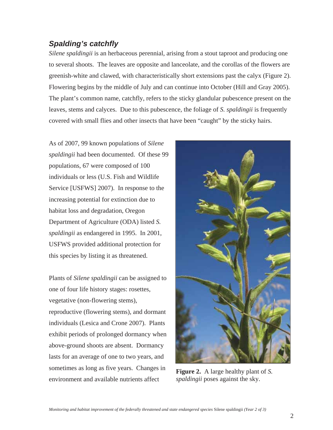#### *Spalding's catchfly*

*Silene spaldingii* is an herbaceous perennial, arising from a stout taproot and producing one to several shoots. The leaves are opposite and lanceolate, and the corollas of the flowers are greenish-white and clawed, with characteristically short extensions past the calyx (Figure 2). Flowering begins by the middle of July and can continue into October (Hill and Gray 2005). The plant's common name, catchfly, refers to the sticky glandular pubescence present on the leaves, stems and calyces. Due to this pubescence, the foliage of *S. spaldingii* is frequently covered with small flies and other insects that have been "caught" by the sticky hairs.

As of 2007, 99 known populations of *Silene spaldingii* had been documented. Of these 99 populations, 67 were composed of 100 individuals or less (U.S. Fish and Wildlife Service [USFWS] 2007). In response to the increasing potential for extinction due to habitat loss and degradation, Oregon Department of Agriculture (ODA) listed *S. spaldingii* as endangered in 1995. In 2001, USFWS provided additional protection for this species by listing it as threatened.

Plants of *Silene spaldingii* can be assigned to one of four life history stages: rosettes, vegetative (non-flowering stems), reproductive (flowering stems), and dormant individuals (Lesica and Crone 2007). Plants exhibit periods of prolonged dormancy when above-ground shoots are absent. Dormancy lasts for an average of one to two years, and sometimes as long as five years. Changes in environment and available nutrients affect



**Figure 2.** A large healthy plant of *S. spaldingii* poses against the sky.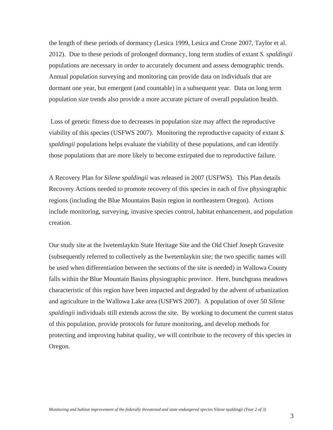the length of these periods of dormancy (Lesica 1999, Lesica and Crone 2007, Taylor et al. 2012). Due to these periods of prolonged dormancy, long term studies of extant *S. spaldingii* populations are necessary in order to accurately document and assess demographic trends. Annual population surveying and monitoring can provide data on individuals that are dormant one year, but emergent (and countable) in a subsequent year. Data on long term population size trends also provide a more accurate picture of overall population health.

 Loss of genetic fitness due to decreases in population size may affect the reproductive viability of this species (USFWS 2007). Monitoring the reproductive capacity of extant *S. spaldingii* populations helps evaluate the viability of these populations, and can identify those populations that are more likely to become extirpated due to reproductive failure.

A Recovery Plan for *Silene spaldingii* was released in 2007 (USFWS). This Plan details Recovery Actions needed to promote recovery of this species in each of five physiographic regions (including the Blue Mountains Basin region in northeastern Oregon). Actions include monitoring, surveying, invasive species control, habitat enhancement, and population creation.

Our study site at the Iwetemlaykin State Heritage Site and the Old Chief Joseph Gravesite (subsequently referred to collectively as the Iwetemlaykin site; the two specific names will be used when differentiation between the sections of the site is needed) in Wallowa County falls within the Blue Mountain Basins physiographic province. Here, bunchgrass meadows characteristic of this region have been impacted and degraded by the advent of urbanization and agriculture in the Wallowa Lake area (USFWS 2007). A population of over 50 *Silene spaldingii* individuals still extends across the site. By working to document the current status of this population, provide protocols for future monitoring, and develop methods for protecting and improving habitat quality, we will contribute to the recovery of this species in Oregon.

3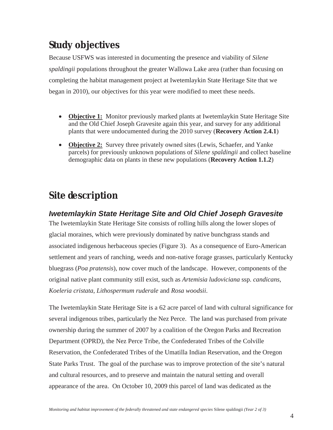## **Study objectives**

Because USFWS was interested in documenting the presence and viability of *Silene spaldingii* populations throughout the greater Wallowa Lake area (rather than focusing on completing the habitat management project at Iwetemlaykin State Heritage Site that we began in 2010), our objectives for this year were modified to meet these needs.

- **Objective 1:** Monitor previously marked plants at Iwetemlaykin State Heritage Site and the Old Chief Joseph Gravesite again this year, and survey for any additional plants that were undocumented during the 2010 survey (**Recovery Action 2.4.1**)
- **Objective 2:** Survey three privately owned sites (Lewis, Schaefer, and Yanke parcels) for previously unknown populations of *Silene spaldingii* and collect baseline demographic data on plants in these new populations (**Recovery Action 1.1.2**)

# **Site description**

#### *Iwetemlaykin State Heritage Site and Old Chief Joseph Gravesite*

The Iwetemlaykin State Heritage Site consists of rolling hills along the lower slopes of glacial moraines, which were previously dominated by native bunchgrass stands and associated indigenous herbaceous species (Figure 3). As a consequence of Euro-American settlement and years of ranching, weeds and non-native forage grasses, particularly Kentucky bluegrass (*Poa pratensis*), now cover much of the landscape. However, components of the original native plant community still exist, such as *Artemisia ludoviciana* ssp. *candicans, Koeleria cristata*, *Lithospermum ruderale* and *Rosa woodsii*.

The Iwetemlaykin State Heritage Site is a 62 acre parcel of land with cultural significance for several indigenous tribes, particularly the Nez Perce. The land was purchased from private ownership during the summer of 2007 by a coalition of the Oregon Parks and Recreation Department (OPRD), the Nez Perce Tribe, the Confederated Tribes of the Colville Reservation, the Confederated Tribes of the Umatilla Indian Reservation, and the Oregon State Parks Trust. The goal of the purchase was to improve protection of the site's natural and cultural resources, and to preserve and maintain the natural setting and overall appearance of the area. On October 10, 2009 this parcel of land was dedicated as the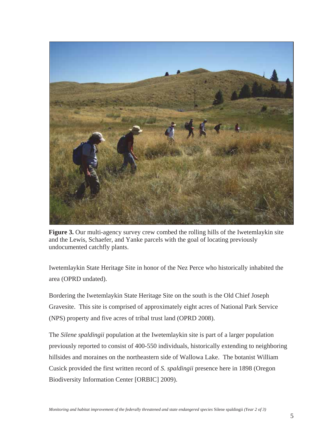

**Figure 3.** Our multi-agency survey crew combed the rolling hills of the Iwetemlaykin site and the Lewis, Schaefer, and Yanke parcels with the goal of locating previously undocumented catchfly plants.

Iwetemlaykin State Heritage Site in honor of the Nez Perce who historically inhabited the area (OPRD undated).

Bordering the Iwetemlaykin State Heritage Site on the south is the Old Chief Joseph Gravesite. This site is comprised of approximately eight acres of National Park Service (NPS) property and five acres of tribal trust land (OPRD 2008).

The *Silene spaldingii* population at the Iwetemlaykin site is part of a larger population previously reported to consist of 400-550 individuals, historically extending to neighboring hillsides and moraines on the northeastern side of Wallowa Lake. The botanist William Cusick provided the first written record of *S. spaldingii* presence here in 1898 (Oregon Biodiversity Information Center [ORBIC] 2009).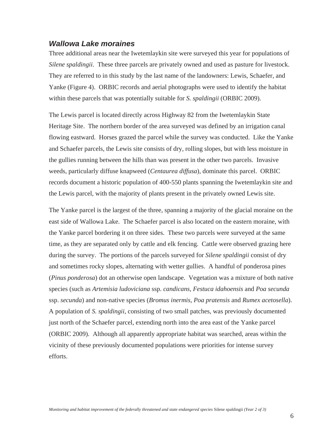#### *Wallowa Lake moraines*

Three additional areas near the Iwetemlaykin site were surveyed this year for populations of *Silene spaldingii*. These three parcels are privately owned and used as pasture for livestock. They are referred to in this study by the last name of the landowners: Lewis, Schaefer, and Yanke (Figure 4). ORBIC records and aerial photographs were used to identify the habitat within these parcels that was potentially suitable for *S. spaldingii* (ORBIC 2009).

The Lewis parcel is located directly across Highway 82 from the Iwetemlaykin State Heritage Site. The northern border of the area surveyed was defined by an irrigation canal flowing eastward. Horses grazed the parcel while the survey was conducted. Like the Yanke and Schaefer parcels, the Lewis site consists of dry, rolling slopes, but with less moisture in the gullies running between the hills than was present in the other two parcels. Invasive weeds, particularly diffuse knapweed (*Centaurea diffusa*), dominate this parcel. ORBIC records document a historic population of 400-550 plants spanning the Iwetemlaykin site and the Lewis parcel, with the majority of plants present in the privately owned Lewis site.

The Yanke parcel is the largest of the three, spanning a majority of the glacial moraine on the east side of Wallowa Lake. The Schaefer parcel is also located on the eastern moraine, with the Yanke parcel bordering it on three sides. These two parcels were surveyed at the same time, as they are separated only by cattle and elk fencing. Cattle were observed grazing here during the survey. The portions of the parcels surveyed for *Silene spaldingii* consist of dry and sometimes rocky slopes, alternating with wetter gullies. A handful of ponderosa pines (*Pinus ponderosa*) dot an otherwise open landscape. Vegetation was a mixture of both native species (such as *Artemisia ludoviciana* ssp. *candicans, Festuca idahoensis* and *Poa secunda*  ssp. *secunda*) and non-native species (*Bromus inermis*, *Poa pratensis* and *Rumex acetosella*). A population of *S. spaldingii,* consisting of two small patches, was previously documented just north of the Schaefer parcel, extending north into the area east of the Yanke parcel (ORBIC 2009). Although all apparently appropriate habitat was searched, areas within the vicinity of these previously documented populations were priorities for intense survey efforts.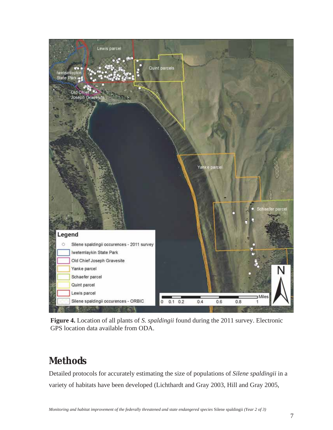

**Figure 4.** Location of all plants of *S. spaldingii* found during the 2011 survey. Electronic GPS location data available from ODA.

## **Methods**

Detailed protocols for accurately estimating the size of populations of *Silene spaldingii* in a variety of habitats have been developed (Lichthardt and Gray 2003, Hill and Gray 2005,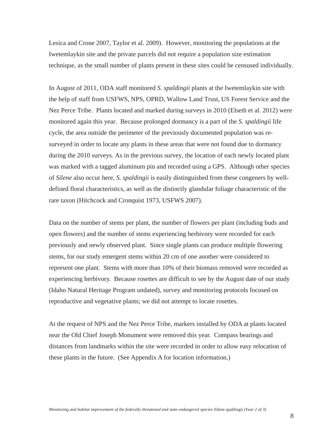Lesica and Crone 2007, Taylor et al. 2009). However, monitoring the populations at the Iwetemlaykin site and the private parcels did not require a population size estimation technique, as the small number of plants present in these sites could be censused individually.

In August of 2011, ODA staff monitored *S. spaldingii* plants at the Iwetemlaykin site with the help of staff from USFWS, NPS, OPRD, Wallow Land Trust, US Forest Service and the Nez Perce Tribe. Plants located and marked during surveys in 2010 (Elseth et al. 2012) were monitored again this year. Because prolonged dormancy is a part of the *S. spaldingii* life cycle*,* the area outside the perimeter of the previously documented population was resurveyed in order to locate any plants in these areas that were not found due to dormancy during the 2010 surveys. As in the previous survey, the location of each newly located plant was marked with a tagged aluminum pin and recorded using a GPS. Although other species of *Silene* also occur here, *S. spaldingii* is easily distinguished from these congeners by welldefined floral characteristics, as well as the distinctly glandular foliage characteristic of the rare taxon (Hitchcock and Cronquist 1973, USFWS 2007).

Data on the number of stems per plant, the number of flowers per plant (including buds and open flowers) and the number of stems experiencing herbivory were recorded for each previously and newly observed plant. Since single plants can produce multiple flowering stems, for our study emergent stems within 20 cm of one another were considered to represent one plant. Stems with more than 10% of their biomass removed were recorded as experiencing herbivory. Because rosettes are difficult to see by the August date of our study (Idaho Natural Heritage Program undated), survey and monitoring protocols focused on reproductive and vegetative plants; we did not attempt to locate rosettes.

At the request of NPS and the Nez Perce Tribe, markers installed by ODA at plants located near the Old Chief Joseph Monument were removed this year. Compass bearings and distances from landmarks within the site were recorded in order to allow easy relocation of these plants in the future. (See Appendix A for location information.)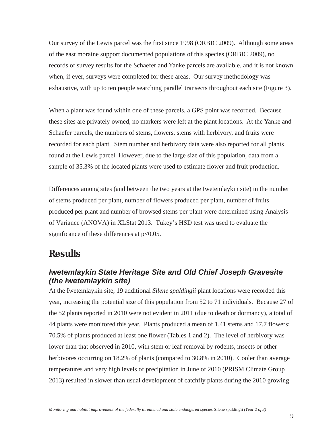Our survey of the Lewis parcel was the first since 1998 (ORBIC 2009). Although some areas of the east moraine support documented populations of this species (ORBIC 2009), no records of survey results for the Schaefer and Yanke parcels are available, and it is not known when, if ever, surveys were completed for these areas. Our survey methodology was exhaustive, with up to ten people searching parallel transects throughout each site (Figure 3).

When a plant was found within one of these parcels, a GPS point was recorded. Because these sites are privately owned, no markers were left at the plant locations. At the Yanke and Schaefer parcels, the numbers of stems, flowers, stems with herbivory, and fruits were recorded for each plant. Stem number and herbivory data were also reported for all plants found at the Lewis parcel. However, due to the large size of this population, data from a sample of 35.3% of the located plants were used to estimate flower and fruit production.

Differences among sites (and between the two years at the Iwetemlaykin site) in the number of stems produced per plant, number of flowers produced per plant, number of fruits produced per plant and number of browsed stems per plant were determined using Analysis of Variance (ANOVA) in XLStat 2013. Tukey's HSD test was used to evaluate the significance of these differences at  $p<0.05$ .

### **Results**

#### *Iwetemlaykin State Heritage Site and Old Chief Joseph Gravesite (the Iwetemlaykin site)*

At the Iwetemlaykin site, 19 additional *Silene spaldingii* plant locations were recorded this year, increasing the potential size of this population from 52 to 71 individuals. Because 27 of the 52 plants reported in 2010 were not evident in 2011 (due to death or dormancy), a total of 44 plants were monitored this year. Plants produced a mean of 1.41 stems and 17.7 flowers; 70.5% of plants produced at least one flower (Tables 1 and 2). The level of herbivory was lower than that observed in 2010, with stem or leaf removal by rodents, insects or other herbivores occurring on 18.2% of plants (compared to 30.8% in 2010). Cooler than average temperatures and very high levels of precipitation in June of 2010 (PRISM Climate Group 2013) resulted in slower than usual development of catchfly plants during the 2010 growing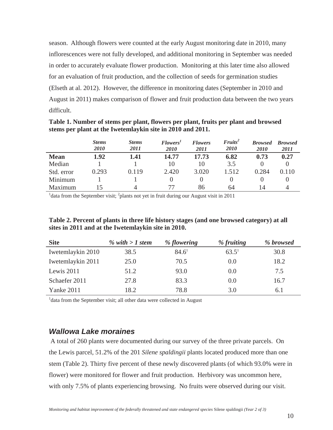season. Although flowers were counted at the early August monitoring date in 2010, many inflorescences were not fully developed, and additional monitoring in September was needed in order to accurately evaluate flower production. Monitoring at this later time also allowed for an evaluation of fruit production, and the collection of seeds for germination studies (Elseth at al. 2012). However, the difference in monitoring dates (September in 2010 and August in 2011) makes comparison of flower and fruit production data between the two years difficult.

**Table 1. Number of stems per plant, flowers per plant, fruits per plant and browsed stems per plant at the Iwetemlaykin site in 2010 and 2011.** 

|                                                                                                            | <b>Stems</b><br>2010 | <b>Stems</b><br><i>2011</i> | Flowers <sup>1</sup><br>2010 | <b>Flowers</b><br>2011 | $Friits^2$<br><i>2010</i> | <b>Browsed</b><br><i>2010</i> | <b>Browsed</b><br>2011 |  |
|------------------------------------------------------------------------------------------------------------|----------------------|-----------------------------|------------------------------|------------------------|---------------------------|-------------------------------|------------------------|--|
| <b>Mean</b>                                                                                                | 1.92                 | 1.41                        | 14.77                        | 17.73                  | 6.82                      | 0.73                          | 0.27                   |  |
| Median                                                                                                     |                      |                             | 10                           | 10                     | 3.5                       |                               |                        |  |
| Std. error                                                                                                 | 0.293                | 0.119                       | 2.420                        | 3.020                  | 1.512                     | 0.284                         | 0.110                  |  |
| Minimum                                                                                                    |                      |                             |                              |                        |                           |                               |                        |  |
| Maximum                                                                                                    |                      | 4                           | 77                           | 86                     | 64                        | 14                            |                        |  |
| <sup>1</sup> data from the September visit; $^{2}$ plants not yet in fruit during our August visit in 2011 |                      |                             |                              |                        |                           |                               |                        |  |

**Table 2. Percent of plants in three life history stages (and one browsed category) at all sites in 2011 and at the Iwetemlaykin site in 2010.** 

| <b>Site</b>       | % with $>1$ stem | % flowering | % fruiting | % browsed |
|-------------------|------------------|-------------|------------|-----------|
| Iwetemlaykin 2010 | 38.5             | $84.6^1$    | $63.5^1$   | 30.8      |
| Iwetemlaykin 2011 | 25.0             | 70.5        | 0.0        | 18.2      |
| Lewis 2011        | 51.2             | 93.0        | 0.0        | 7.5       |
| Schaefer 2011     | 27.8             | 83.3        | 0.0        | 16.7      |
| Yanke 2011        | 18.2             | 78.8        | 3.0        | 6.1       |

<sup>1</sup> data from the September visit; all other data were collected in August

#### *Wallowa Lake moraines*

 A total of 260 plants were documented during our survey of the three private parcels. On the Lewis parcel, 51.2% of the 201 *Silene spaldingii* plants located produced more than one stem (Table 2). Thirty five percent of these newly discovered plants (of which 93.0% were in flower) were monitored for flower and fruit production. Herbivory was uncommon here, with only 7.5% of plants experiencing browsing. No fruits were observed during our visit.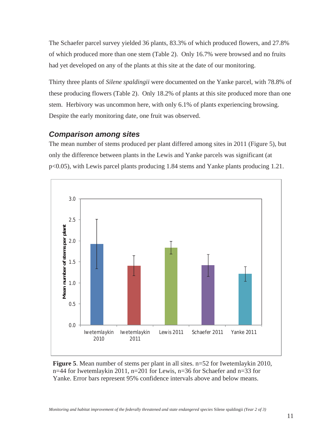The Schaefer parcel survey yielded 36 plants, 83.3% of which produced flowers, and 27.8% of which produced more than one stem (Table 2). Only 16.7% were browsed and no fruits had yet developed on any of the plants at this site at the date of our monitoring.

Thirty three plants of *Silene spaldingii* were documented on the Yanke parcel, with 78.8% of these producing flowers (Table 2). Only 18.2% of plants at this site produced more than one stem. Herbivory was uncommon here, with only 6.1% of plants experiencing browsing. Despite the early monitoring date, one fruit was observed.

#### *Comparison among sites*

The mean number of stems produced per plant differed among sites in 2011 (Figure 5), but only the difference between plants in the Lewis and Yanke parcels was significant (at p<0.05), with Lewis parcel plants producing 1.84 stems and Yanke plants producing 1.21.



**Figure 5**. Mean number of stems per plant in all sites. n=52 for Iwetemlaykin 2010, n=44 for Iwetemlaykin 2011, n=201 for Lewis, n=36 for Schaefer and n=33 for Yanke. Error bars represent 95% confidence intervals above and below means.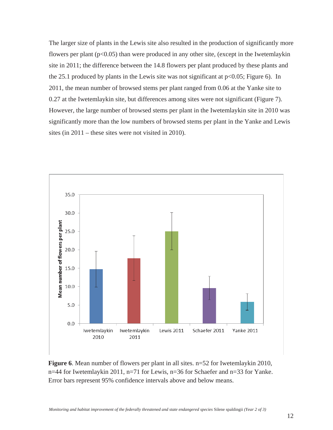The larger size of plants in the Lewis site also resulted in the production of significantly more flowers per plant  $(p<0.05)$  than were produced in any other site, (except in the Iwetemlaykin site in 2011; the difference between the 14.8 flowers per plant produced by these plants and the 25.1 produced by plants in the Lewis site was not significant at  $p<0.05$ ; Figure 6). In 2011, the mean number of browsed stems per plant ranged from 0.06 at the Yanke site to 0.27 at the Iwetemlaykin site, but differences among sites were not significant (Figure 7). However, the large number of browsed stems per plant in the Iwetemlaykin site in 2010 was significantly more than the low numbers of browsed stems per plant in the Yanke and Lewis sites (in 2011 – these sites were not visited in 2010).



**Figure 6**. Mean number of flowers per plant in all sites. n=52 for Iwetemlaykin 2010, n=44 for Iwetemlaykin 2011, n=71 for Lewis, n=36 for Schaefer and n=33 for Yanke. Error bars represent 95% confidence intervals above and below means.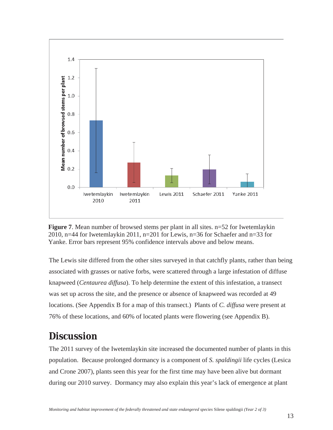



The Lewis site differed from the other sites surveyed in that catchfly plants, rather than being associated with grasses or native forbs, were scattered through a large infestation of diffuse knapweed (*Centaurea diffusa*). To help determine the extent of this infestation, a transect was set up across the site, and the presence or absence of knapweed was recorded at 49 locations. (See Appendix B for a map of this transect.) Plants of *C. diffusa* were present at 76% of these locations, and 60% of located plants were flowering (see Appendix B).

## **Discussion**

The 2011 survey of the Iwetemlaykin site increased the documented number of plants in this population. Because prolonged dormancy is a component of *S. spaldingii* life cycles (Lesica and Crone 2007), plants seen this year for the first time may have been alive but dormant during our 2010 survey. Dormancy may also explain this year's lack of emergence at plant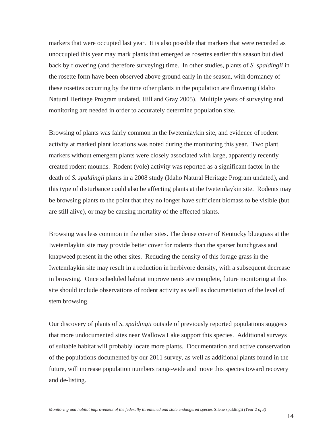markers that were occupied last year. It is also possible that markers that were recorded as unoccupied this year may mark plants that emerged as rosettes earlier this season but died back by flowering (and therefore surveying) time. In other studies, plants of *S. spaldingii* in the rosette form have been observed above ground early in the season, with dormancy of these rosettes occurring by the time other plants in the population are flowering (Idaho Natural Heritage Program undated, Hill and Gray 2005). Multiple years of surveying and monitoring are needed in order to accurately determine population size.

Browsing of plants was fairly common in the Iwetemlaykin site, and evidence of rodent activity at marked plant locations was noted during the monitoring this year. Two plant markers without emergent plants were closely associated with large, apparently recently created rodent mounds. Rodent (vole) activity was reported as a significant factor in the death of *S. spaldingii* plants in a 2008 study (Idaho Natural Heritage Program undated), and this type of disturbance could also be affecting plants at the Iwetemlaykin site. Rodents may be browsing plants to the point that they no longer have sufficient biomass to be visible (but are still alive), or may be causing mortality of the effected plants.

Browsing was less common in the other sites. The dense cover of Kentucky bluegrass at the Iwetemlaykin site may provide better cover for rodents than the sparser bunchgrass and knapweed present in the other sites. Reducing the density of this forage grass in the Iwetemlaykin site may result in a reduction in herbivore density, with a subsequent decrease in browsing. Once scheduled habitat improvements are complete, future monitoring at this site should include observations of rodent activity as well as documentation of the level of stem browsing.

Our discovery of plants of *S. spaldingii* outside of previously reported populations suggests that more undocumented sites near Wallowa Lake support this species. Additional surveys of suitable habitat will probably locate more plants. Documentation and active conservation of the populations documented by our 2011 survey, as well as additional plants found in the future, will increase population numbers range-wide and move this species toward recovery and de-listing.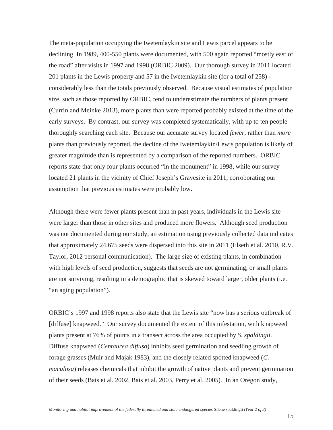The meta-population occupying the Iwetemlaykin site and Lewis parcel appears to be declining. In 1989, 400-550 plants were documented, with 500 again reported "mostly east of the road" after visits in 1997 and 1998 (ORBIC 2009). Our thorough survey in 2011 located 201 plants in the Lewis property and 57 in the Iwetemlaykin site (for a total of 258) considerably less than the totals previously observed. Because visual estimates of population size, such as those reported by ORBIC, tend to underestimate the numbers of plants present (Currin and Meinke 2013), more plants than were reported probably existed at the time of the early surveys. By contrast, our survey was completed systematically, with up to ten people thoroughly searching each site. Because our accurate survey located *fewer*, rather than *more* plants than previously reported, the decline of the Iwetemlaykin/Lewis population is likely of greater magnitude than is represented by a comparison of the reported numbers. ORBIC reports state that only four plants occurred "in the monument" in 1998, while our survey located 21 plants in the vicinity of Chief Joseph's Gravesite in 2011, corroborating our assumption that previous estimates were probably low.

Although there were fewer plants present than in past years, individuals in the Lewis site were larger than those in other sites and produced more flowers. Although seed production was not documented during our study, an estimation using previously collected data indicates that approximately 24,675 seeds were dispersed into this site in 2011 (Elseth et al. 2010, R.V. Taylor, 2012 personal communication). The large size of existing plants, in combination with high levels of seed production, suggests that seeds are not germinating, or small plants are not surviving, resulting in a demographic that is skewed toward larger, older plants (i.e. "an aging population").

ORBIC's 1997 and 1998 reports also state that the Lewis site "now has a serious outbreak of [diffuse] knapweed." Our survey documented the extent of this infestation, with knapweed plants present at 76% of points in a transect across the area occupied by *S. spaldingii*. Diffuse knapweed (*Centaurea diffusa*) inhibits seed germination and seedling growth of forage grasses (Muir and Majak 1983), and the closely related spotted knapweed (*C. maculosa*) releases chemicals that inhibit the growth of native plants and prevent germination of their seeds (Bais et al. 2002, Bais et al. 2003, Perry et al. 2005). In an Oregon study,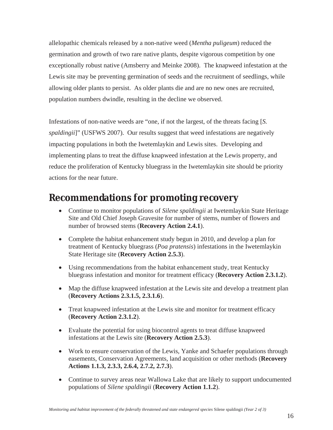allelopathic chemicals released by a non-native weed (*Mentha puligeum*) reduced the germination and growth of two rare native plants, despite vigorous competition by one exceptionally robust native (Amsberry and Meinke 2008). The knapweed infestation at the Lewis site may be preventing germination of seeds and the recruitment of seedlings, while allowing older plants to persist. As older plants die and are no new ones are recruited, population numbers dwindle, resulting in the decline we observed.

Infestations of non-native weeds are "one, if not the largest, of the threats facing [*S. spaldingii*]" (USFWS 2007). Our results suggest that weed infestations are negatively impacting populations in both the Iwetemlaykin and Lewis sites. Developing and implementing plans to treat the diffuse knapweed infestation at the Lewis property, and reduce the proliferation of Kentucky bluegrass in the Iwetemlaykin site should be priority actions for the near future.

## **Recommendations for promoting recovery**

- **•** Continue to monitor populations of *Silene spaldingii* at Iwetemlaykin State Heritage Site and Old Chief Joseph Gravesite for number of stems, number of flowers and number of browsed stems (**Recovery Action 2.4.1**).
- Complete the habitat enhancement study begun in 2010, and develop a plan for treatment of Kentucky bluegrass (*Poa pratensis*) infestations in the Iwetemlaykin State Heritage site (**Recovery Action 2.5.3**).
- Using recommendations from the habitat enhancement study, treat Kentucky bluegrass infestation and monitor for treatment efficacy (**Recovery Action 2.3.1.2**).
- Map the diffuse knapweed infestation at the Lewis site and develop a treatment plan (**Recovery Actions 2.3.1.5, 2.3.1.6**).
- Treat knapweed infestation at the Lewis site and monitor for treatment efficacy (**Recovery Action 2.3.1.2**).
- Evaluate the potential for using biocontrol agents to treat diffuse knapweed infestations at the Lewis site (**Recovery Action 2.5.3**).
- Work to ensure conservation of the Lewis, Yanke and Schaefer populations through easements, Conservation Agreements, land acquisition or other methods (**Recovery Actions 1.1.3, 2.3.3, 2.6.4, 2.7.2, 2.7.3**).
- Continue to survey areas near Wallowa Lake that are likely to support undocumented populations of *Silene spaldingii* (**Recovery Action 1.1.2**).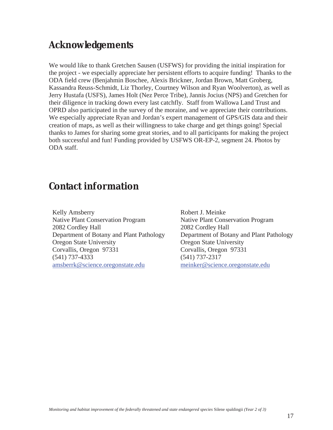## **Acknowledgements**

We would like to thank Gretchen Sausen (USFWS) for providing the initial inspiration for the project - we especially appreciate her persistent efforts to acquire funding! Thanks to the ODA field crew (Benjahmin Boschee, Alexis Brickner, Jordan Brown, Matt Groberg, Kassandra Reuss-Schmidt, Liz Thorley, Courtney Wilson and Ryan Woolverton), as well as Jerry Hustafa (USFS), James Holt (Nez Perce Tribe), Jannis Jocius (NPS) and Gretchen for their diligence in tracking down every last catchfly. Staff from Wallowa Land Trust and OPRD also participated in the survey of the moraine, and we appreciate their contributions. We especially appreciate Ryan and Jordan's expert management of GPS/GIS data and their creation of maps, as well as their willingness to take charge and get things going! Special thanks to James for sharing some great stories, and to all participants for making the project both successful and fun! Funding provided by USFWS OR-EP-2, segment 24. Photos by ODA staff.

## **Contact information**

Kelly Amsberry Native Plant Conservation Program 2082 Cordley Hall Department of Botany and Plant Pathology Oregon State University Corvallis, Oregon 97331 (541) 737-4333 amsberrk@science.oregonstate.edu

Robert J. Meinke Native Plant Conservation Program 2082 Cordley Hall Department of Botany and Plant Pathology Oregon State University Corvallis, Oregon 97331 (541) 737-2317 meinker@science.oregonstate.edu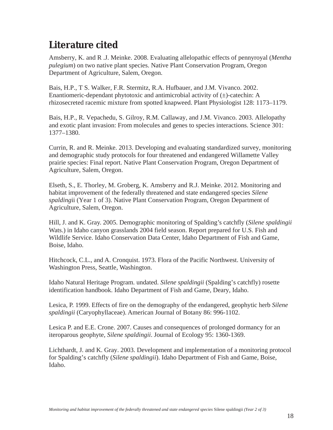## **Literature cited**

Amsberry, K. and R .J. Meinke. 2008. Evaluating allelopathic effects of pennyroyal (*Mentha pulegium*) on two native plant species. Native Plant Conservation Program, Oregon Department of Agriculture, Salem, Oregon.

Bais, H.P., T S. Walker, F.R. Stermitz, R.A. Hufbauer, and J.M. Vivanco. 2002. Enantiomeric-dependant phytotoxic and antimicrobial activity of  $(\pm)$ -catechin: A rhizosecreted racemic mixture from spotted knapweed. Plant Physiologist 128: 1173–1179.

Bais, H.P., R. Vepachedu, S. Gilroy, R.M. Callaway, and J.M. Vivanco. 2003. Allelopathy and exotic plant invasion: From molecules and genes to species interactions. Science 301: 1377–1380.

Currin, R. and R. Meinke. 2013. Developing and evaluating standardized survey, monitoring and demographic study protocols for four threatened and endangered Willamette Valley prairie species: Final report. Native Plant Conservation Program, Oregon Department of Agriculture, Salem, Oregon.

Elseth, S., E. Thorley, M. Groberg, K. Amsberry and R.J. Meinke. 2012. Monitoring and habitat improvement of the federally threatened and state endangered species *Silene spalding*ii (Year 1 of 3). Native Plant Conservation Program, Oregon Department of Agriculture, Salem, Oregon.

Hill, J. and K. Gray. 2005. Demographic monitoring of Spalding's catchfly (*Silene spaldingii*  Wats.) in Idaho canyon grasslands 2004 field season. Report prepared for U.S. Fish and Wildlife Service. Idaho Conservation Data Center, Idaho Department of Fish and Game, Boise, Idaho.

Hitchcock, C.L., and A. Cronquist. 1973. Flora of the Pacific Northwest. University of Washington Press, Seattle, Washington.

Idaho Natural Heritage Program. undated. *Silene spaldingii* (Spalding's catchfly) rosette identification handbook. Idaho Department of Fish and Game, Deary, Idaho.

Lesica, P. 1999. Effects of fire on the demography of the endangered, geophytic herb *Silene spaldingii* (Caryophyllaceae). American Journal of Botany 86: 996-1102.

Lesica P. and E.E. Crone. 2007. Causes and consequences of prolonged dormancy for an iteroparous geophyte, *Silene spaldingii*. Journal of Ecology 95: 1360-1369.

Lichthardt, J. and K. Gray. 2003. Development and implementation of a monitoring protocol for Spalding's catchfly (*Silene spaldingii*). Idaho Department of Fish and Game, Boise, Idaho.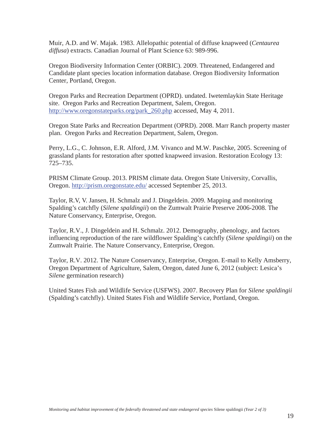Muir, A.D. and W. Majak. 1983. Allelopathic potential of diffuse knapweed (*Centaurea diffusa*) extracts. Canadian Journal of Plant Science 63: 989-996.

Oregon Biodiversity Information Center (ORBIC). 2009. Threatened, Endangered and Candidate plant species location information database. Oregon Biodiversity Information Center, Portland, Oregon.

Oregon Parks and Recreation Department (OPRD). undated. Iwetemlaykin State Heritage site. Oregon Parks and Recreation Department, Salem, Oregon. http://www.oregonstateparks.org/park 260.php accessed, May 4, 2011.

Oregon State Parks and Recreation Department (OPRD). 2008. Marr Ranch property master plan. Oregon Parks and Recreation Department, Salem, Oregon.

Perry, L.G., C. Johnson, E.R. Alford, J.M. Vivanco and M.W. Paschke, 2005. Screening of grassland plants for restoration after spotted knapweed invasion. Restoration Ecology 13: 725–735.

PRISM Climate Group. 2013. PRISM climate data. Oregon State University, Corvallis, Oregon. http://prism.oregonstate.edu/ accessed September 25, 2013.

Taylor, R.V, V. Jansen, H. Schmalz and J. Dingeldein. 2009. Mapping and monitoring Spalding's catchfly (*Silene spaldingii*) on the Zumwalt Prairie Preserve 2006-2008. The Nature Conservancy, Enterprise, Oregon.

Taylor, R.V., J. Dingeldein and H. Schmalz. 2012. Demography, phenology, and factors influencing reproduction of the rare wildflower Spalding's catchfly (*Silene spaldingii*) on the Zumwalt Prairie. The Nature Conservancy, Enterprise, Oregon.

Taylor, R.V. 2012. The Nature Conservancy, Enterprise, Oregon. E-mail to Kelly Amsberry, Oregon Department of Agriculture, Salem, Oregon, dated June 6, 2012 (subject: Lesica's *Silene* germination research)

United States Fish and Wildlife Service (USFWS). 2007. Recovery Plan for *Silene spaldingii*  (Spalding's catchfly). United States Fish and Wildlife Service, Portland, Oregon.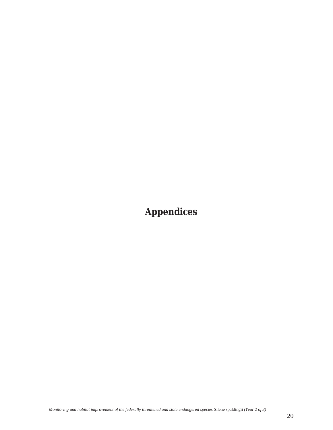**Appendices**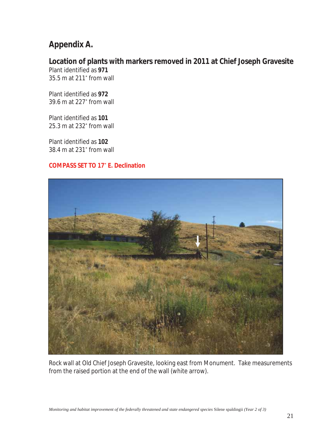### **Appendix A.**

## **Location of plants with markers removed in 2011 at Chief Joseph Gravesite**

Plant identified as **971** 35.5 m at 211ȗ from wall

Plant identified as **972** 39.6 m at 227ȗ from wall

Plant identified as **101** 25.3 m at 232ȗ from wall

Plant identified as **102** 38.4 m at 231° from wall

#### **COMPASS SET TO 17ȗ E. Declination**



Rock wall at Old Chief Joseph Gravesite, looking east from Monument. Take measurements from the raised portion at the end of the wall (white arrow).